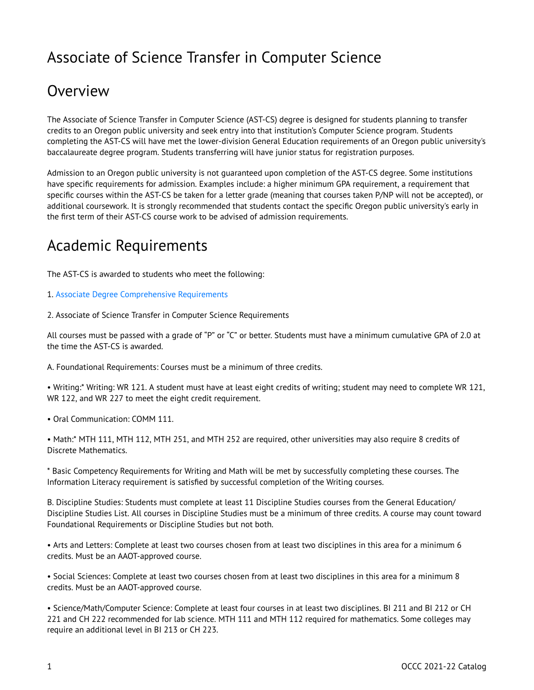## Associate of Science Transfer in Computer Science

## Overview

The Associate of Science Transfer in Computer Science (AST-CS) degree is designed for students planning to transfer credits to an Oregon public university and seek entry into that institution's Computer Science program. Students completing the AST-CS will have met the lower-division General Education requirements of an Oregon public university's baccalaureate degree program. Students transferring will have junior status for registration purposes.

Admission to an Oregon public university is not guaranteed upon completion of the AST-CS degree. Some institutions have specific requirements for admission. Examples include: a higher minimum GPA requirement, a requirement that specific courses within the AST-CS be taken for a letter grade (meaning that courses taken P/NP will not be accepted), or additional coursework. It is strongly recommended that students contact the specific Oregon public university's early in the first term of their AST-CS course work to be advised of admission requirements.

## Academic Requirements

The AST-CS is awarded to students who meet the following:

- 1. [Associate Degree Comprehensive Requirements](http://catalog.oregoncoastcc.org/associate-degree-comprehensive-requirements-0)
- 2. Associate of Science Transfer in Computer Science Requirements

All courses must be passed with a grade of "P" or "C" or better. Students must have a minimum cumulative GPA of 2.0 at the time the AST-CS is awarded.

A. Foundational Requirements: Courses must be a minimum of three credits.

• Writing:\* Writing: WR 121. A student must have at least eight credits of writing; student may need to complete WR 121, WR 122, and WR 227 to meet the eight credit requirement.

• Oral Communication: COMM 111.

• Math:\* MTH 111, MTH 112, MTH 251, and MTH 252 are required, other universities may also require 8 credits of Discrete Mathematics.

\* Basic Competency Requirements for Writing and Math will be met by successfully completing these courses. The Information Literacy requirement is satisfied by successful completion of the Writing courses.

B. Discipline Studies: Students must complete at least 11 Discipline Studies courses from the General Education/ Discipline Studies List. All courses in Discipline Studies must be a minimum of three credits. A course may count toward Foundational Requirements or Discipline Studies but not both.

• Arts and Letters: Complete at least two courses chosen from at least two disciplines in this area for a minimum 6 credits. Must be an AAOT-approved course.

• Social Sciences: Complete at least two courses chosen from at least two disciplines in this area for a minimum 8 credits. Must be an AAOT-approved course.

• Science/Math/Computer Science: Complete at least four courses in at least two disciplines. BI 211 and BI 212 or CH 221 and CH 222 recommended for lab science. MTH 111 and MTH 112 required for mathematics. Some colleges may require an additional level in BI 213 or CH 223.